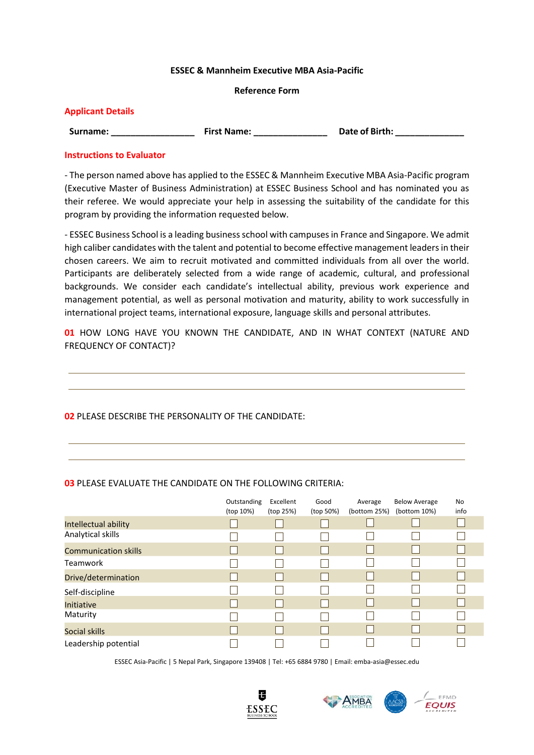### **ESSEC & Mannheim Executive MBA Asia-Pacific**

### **Reference Form**

| <b>Applicant Details</b> |                    |                       |
|--------------------------|--------------------|-----------------------|
| Surname:                 | <b>First Name:</b> | <b>Date of Birth:</b> |

### **Instructions to Evaluator**

- The person named above has applied to the ESSEC & Mannheim Executive MBA Asia-Pacific program (Executive Master of Business Administration) at ESSEC Business School and has nominated you as their referee. We would appreciate your help in assessing the suitability of the candidate for this program by providing the information requested below.

- ESSEC Business School is a leading business school with campuses in France and Singapore. We admit high caliber candidates with the talent and potential to become effective management leaders in their chosen careers. We aim to recruit motivated and committed individuals from all over the world. Participants are deliberately selected from a wide range of academic, cultural, and professional backgrounds. We consider each candidate's intellectual ability, previous work experience and management potential, as well as personal motivation and maturity, ability to work successfully in international project teams, international exposure, language skills and personal attributes.

**01** HOW LONG HAVE YOU KNOWN THE CANDIDATE, AND IN WHAT CONTEXT (NATURE AND FREQUENCY OF CONTACT)?

# **02** PLEASE DESCRIBE THE PERSONALITY OF THE CANDIDATE:

## **03** PLEASE EVALUATE THE CANDIDATE ON THE FOLLOWING CRITERIA:

|                             | Outstanding<br>(top 10%) | Excellent<br>(top 25%) | Good<br>(top 50%) | Average<br>(bottom 25%) | <b>Below Average</b><br>(bottom 10%) | No<br>info |
|-----------------------------|--------------------------|------------------------|-------------------|-------------------------|--------------------------------------|------------|
| Intellectual ability        |                          |                        |                   |                         |                                      |            |
| Analytical skills           |                          |                        |                   |                         |                                      |            |
| <b>Communication skills</b> |                          |                        |                   |                         |                                      |            |
| <b>Teamwork</b>             |                          |                        |                   |                         |                                      |            |
| Drive/determination         |                          |                        |                   |                         |                                      |            |
| Self-discipline             |                          |                        |                   |                         |                                      |            |
| Initiative                  |                          |                        |                   |                         |                                      |            |
| Maturity                    |                          |                        |                   |                         |                                      |            |
| Social skills               |                          |                        |                   |                         |                                      |            |
| Leadership potential        |                          |                        |                   |                         |                                      |            |

ESSEC Asia-Pacific | 5 Nepal Park, Singapore 139408 | Tel: +65 6884 9780 | Email: emba-asia@essec.edu